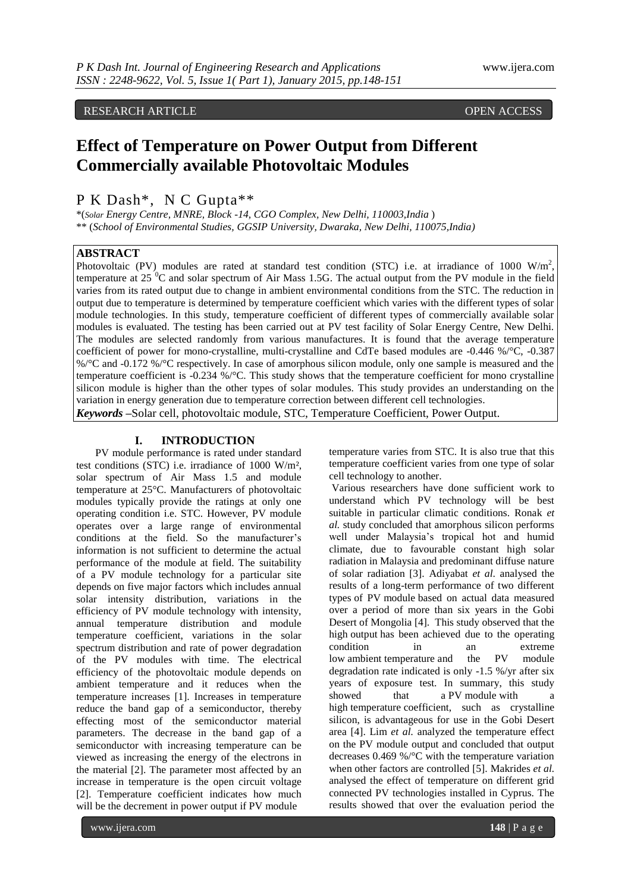RESEARCH ARTICLE OPEN ACCESS

# **Effect of Temperature on Power Output from Different Commercially available Photovoltaic Modules**

# P K Dash\*, N C Gupta\*\*

\*(*Solar Energy Centre, MNRE, Block -14, CGO Complex, New Delhi, 110003,India* ) \*\* (*School of Environmental Studies, GGSIP University, Dwaraka, New Delhi, 110075,India)*

## **ABSTRACT**

Photovoltaic (PV) modules are rated at standard test condition (STC) i.e. at irradiance of 1000  $W/m^2$ , temperature at 25 $\mathrm{^{0}C}$  and solar spectrum of Air Mass 1.5G. The actual output from the PV module in the field varies from its rated output due to change in ambient environmental conditions from the STC. The reduction in output due to temperature is determined by temperature coefficient which varies with the different types of solar module technologies. In this study, temperature coefficient of different types of commercially available solar modules is evaluated. The testing has been carried out at PV test facility of Solar Energy Centre, New Delhi. The modules are selected randomly from various manufactures. It is found that the average temperature coefficient of power for mono-crystalline, multi-crystalline and CdTe based modules are -0.446 %/°C, -0.387 %/°C and -0.172 %/°C respectively. In case of amorphous silicon module, only one sample is measured and the temperature coefficient is -0.234 %/°C. This study shows that the temperature coefficient for mono crystalline silicon module is higher than the other types of solar modules. This study provides an understanding on the variation in energy generation due to temperature correction between different cell technologies.

*Keywords* **–**Solar cell, photovoltaic module, STC, Temperature Coefficient, Power Output.

## **I. INTRODUCTION**

PV module performance is rated under standard test conditions (STC) i.e. irradiance of 1000 W/m², solar spectrum of Air Mass 1.5 and module temperature at 25°C. Manufacturers of photovoltaic modules typically provide the ratings at only one operating condition i.e. STC. However, PV module operates over a large range of environmental conditions at the field. So the manufacturer's information is not sufficient to determine the actual performance of the module at field. The suitability of a PV module technology for a particular site depends on five major factors which includes annual solar intensity distribution, variations in the efficiency of PV module technology with intensity, annual temperature distribution and module temperature coefficient, variations in the solar spectrum distribution and rate of power degradation of the PV modules with time. The electrical efficiency of the photovoltaic module depends on ambient temperature and it reduces when the temperature increases [1]. Increases in temperature reduce the band gap of a semiconductor, thereby effecting most of the semiconductor material parameters. The decrease in the band gap of a semiconductor with increasing temperature can be viewed as increasing the energy of the electrons in the material [2]. The parameter most affected by an increase in temperature is the open circuit voltage [2]. Temperature coefficient indicates how much will be the decrement in power output if PV module

temperature varies from STC. It is also true that this temperature coefficient varies from one type of solar cell technology to another.

Various researchers have done sufficient work to understand which PV technology will be best suitable in particular climatic conditions. Ronak *et al.* study concluded that amorphous silicon performs well under Malaysia's tropical hot and humid climate, due to favourable constant high solar radiation in Malaysia and predominant diffuse nature of solar radiation [3]. [Adiyabat](http://www.scopus.com.scopeesprx.elsevier.com/authid/detail.url?authorId=6507839483&eid=2-s2.0-78650099141) *et al*. analysed the results of a long-term performance of two different types of PV module based on actual data measured over a period of more than six years in the Gobi Desert of Mongolia [4]. This study observed that the high output has been achieved due to the operating condition in an extreme low ambient temperature and the PV module degradation rate indicated is only -1.5 %/yr after six years of exposure test. In summary, this study showed that a PV module with a high temperature coefficient, such as crystalline silicon, is advantageous for use in the Gobi Desert area [4]. [Lim](http://www.scopus.com.scopeesprx.elsevier.com/authid/detail.url?authorId=55635396400&eid=2-s2.0-84875590356) *et al.* analyzed the temperature effect on the PV module output and concluded that output decreases 0.469 %/°C with the temperature variation when other factors are controlled [5]. [Makrides](http://www.scopus.com.scopeesprx.elsevier.com/authid/detail.url?authorId=26021402800&eid=2-s2.0-84856547344) *et al.* analysed the effect of temperature on different grid connected PV technologies installed in Cyprus. The results showed that over the evaluation period the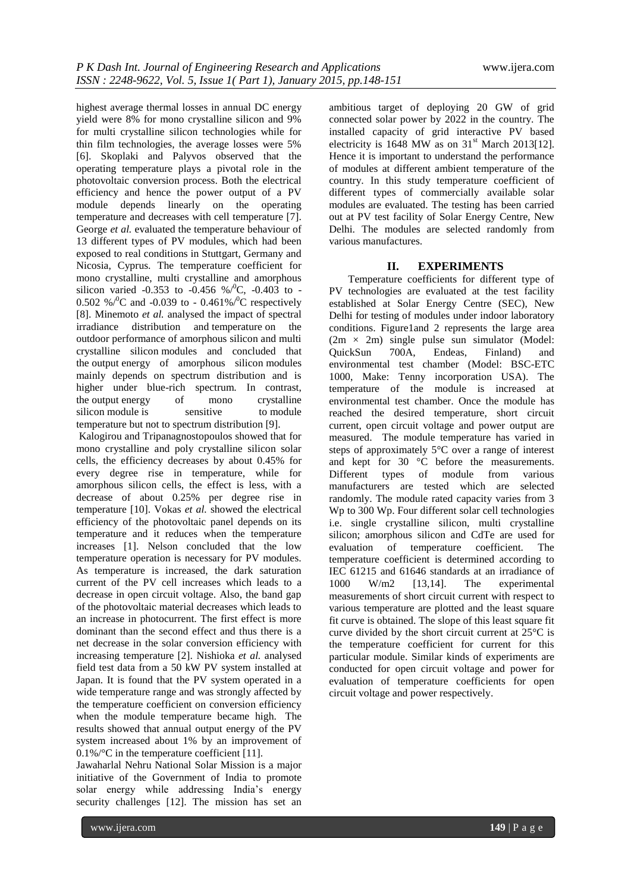highest average thermal losses in annual DC energy yield were 8% for mono crystalline silicon and 9% for multi crystalline silicon technologies while for thin film technologies, the average losses were 5% [6]. Skoplaki and Palyvos observed that the operating temperature plays a pivotal role in the photovoltaic conversion process. Both the electrical efficiency and hence the power output of a PV module depends linearly on the operating temperature and decreases with cell temperature [7]. George *et al.* evaluated the temperature behaviour of 13 different types of PV modules, which had been exposed to real conditions in Stuttgart, Germany and Nicosia, Cyprus. The temperature coefficient for mono crystalline, multi crystalline and amorphous silicon varied -0.353 to -0.456 % $\sqrt{C}$ , -0.403 to -0.502 %/ $\rm{^0C}$  and -0.039 to - 0.461%/ $\rm{^0C}$  respectively [8]. [Minemoto](http://www.scopus.com.scopeesprx.elsevier.com/authid/detail.url?authorId=7003573103&eid=2-s2.0-34147134983) *et al.* analysed the impact of spectral irradiance distribution and temperature on the outdoor performance of amorphous silicon and multi crystalline silicon modules and concluded that the output energy of amorphous silicon modules mainly depends on spectrum distribution and is higher under blue-rich spectrum. In contrast, the output energy of mono crystalline<br>silicon module is sensitive to module silicon module is temperature but not to spectrum distribution [9].

Kalogirou and Tripanagnostopoulos showed that for mono crystalline and poly crystalline silicon solar cells, the efficiency decreases by about 0.45% for every degree rise in temperature, while for amorphous silicon cells, the effect is less, with a decrease of about 0.25% per degree rise in temperature [10]. Vokas *et al.* showed the electrical efficiency of the photovoltaic panel depends on its temperature and it reduces when the temperature increases [1]. Nelson concluded that the low temperature operation is necessary for PV modules. As temperature is increased, the dark saturation current of the PV cell increases which leads to a decrease in open circuit voltage. Also, the band gap of the photovoltaic material decreases which leads to an increase in photocurrent. The first effect is more dominant than the second effect and thus there is a net decrease in the solar conversion efficiency with increasing temperature [2]. [Nishioka](http://www.scopus.com.scopeesprx.elsevier.com/authid/detail.url?authorId=55425041300&eid=2-s2.0-6444244494) *et al.* analysed field test data from a 50 kW PV system installed at Japan. It is found that the PV system operated in a wide temperature range and was strongly affected by the temperature coefficient on conversion efficiency when the module temperature became high. The results showed that annual output energy of the PV system increased about 1% by an improvement of 0.1%/°C in the temperature coefficient [11].

Jawaharlal Nehru National Solar Mission is a major initiative of the [Government of India](http://en.wikipedia.org/wiki/Government_of_India) to promote solar energy while addressing India's [energy](http://en.wikipedia.org/wiki/Energy_security)  [security](http://en.wikipedia.org/wiki/Energy_security) challenges [12]. The mission has set an

ambitious target of deploying 20 GW of grid connected solar power by 2022 in the country. The installed capacity of grid interactive PV based electricity is 1648 MW as on  $31<sup>st</sup>$  March 2013[12]. Hence it is important to understand the performance of modules at different ambient temperature of the country. In this study temperature coefficient of different types of commercially available solar modules are evaluated. The testing has been carried out at PV test facility of Solar Energy Centre, New Delhi. The modules are selected randomly from various manufactures.

## **II. EXPERIMENTS**

Temperature coefficients for different type of PV technologies are evaluated at the test facility established at Solar Energy Centre (SEC), New Delhi for testing of modules under indoor laboratory conditions. Figure1and 2 represents the large area  $(2m \times 2m)$  single pulse sun simulator (Model:<br>QuickSun 700A, Endeas, Finland) and QuickSun 700A, Endeas, Finland) and environmental test chamber (Model: BSC-ETC 1000, Make: Tenny incorporation USA). The temperature of the module is increased at environmental test chamber. Once the module has reached the desired temperature, short circuit current, open circuit voltage and power output are measured. The module temperature has varied in steps of approximately 5°C over a range of interest and kept for 30 °C before the measurements. Different types of module from various manufacturers are tested which are selected randomly. The module rated capacity varies from 3 Wp to 300 Wp. Four different solar cell technologies i.e. single crystalline silicon, multi crystalline silicon; amorphous silicon and CdTe are used for evaluation of temperature coefficient. The temperature coefficient is determined according to IEC 61215 and 61646 standards at an irradiance of 1000 W/m2 [13,14]. The experimental measurements of short circuit current with respect to various temperature are plotted and the least square fit curve is obtained. The slope of this least square fit curve divided by the short circuit current at 25°C is the temperature coefficient for current for this particular module. Similar kinds of experiments are conducted for open circuit voltage and power for evaluation of temperature coefficients for open circuit voltage and power respectively.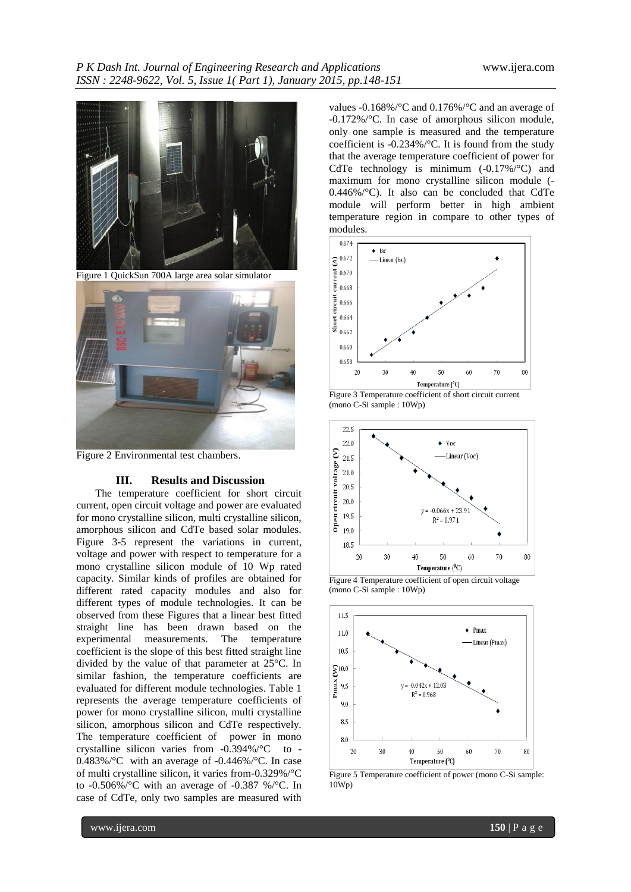

Figure 2 Environmental test chambers.

#### **III. Results and Discussion**

The temperature coefficient for short circuit current, open circuit voltage and power are evaluated for mono crystalline silicon, multi crystalline silicon, amorphous silicon and CdTe based solar modules. Figure 3-5 represent the variations in current, voltage and power with respect to temperature for a mono crystalline silicon module of 10 Wp rated capacity. Similar kinds of profiles are obtained for different rated capacity modules and also for different types of module technologies. It can be observed from these Figures that a linear best fitted straight line has been drawn based on the experimental measurements. The temperature coefficient is the slope of this best fitted straight line divided by the value of that parameter at 25°C. In similar fashion, the temperature coefficients are evaluated for different module technologies. Table 1 represents the average temperature coefficients of power for mono crystalline silicon, multi crystalline silicon, amorphous silicon and CdTe respectively. The temperature coefficient of power in mono crystalline silicon varies from -0.394%/°C to - 0.483%/°C with an average of -0.446%/°C. In case of multi crystalline silicon, it varies from-0.329%/°C to -0.506%/°C with an average of -0.387 %/°C. In case of CdTe, only two samples are measured with

values -0.168%/°C and 0.176%/°C and an average of -0.172%/°C. In case of amorphous silicon module, only one sample is measured and the temperature coefficient is -0.234%/°C. It is found from the study that the average temperature coefficient of power for CdTe technology is minimum (-0.17%/°C) and maximum for mono crystalline silicon module (- 0.446%/°C). It also can be concluded that CdTe module will perform better in high ambient temperature region in compare to other types of modules.







Figure 4 Temperature coefficient of open circuit voltage (mono C-Si sample : 10Wp)



Figure 5 Temperature coefficient of power (mono C-Si sample: 10Wp)